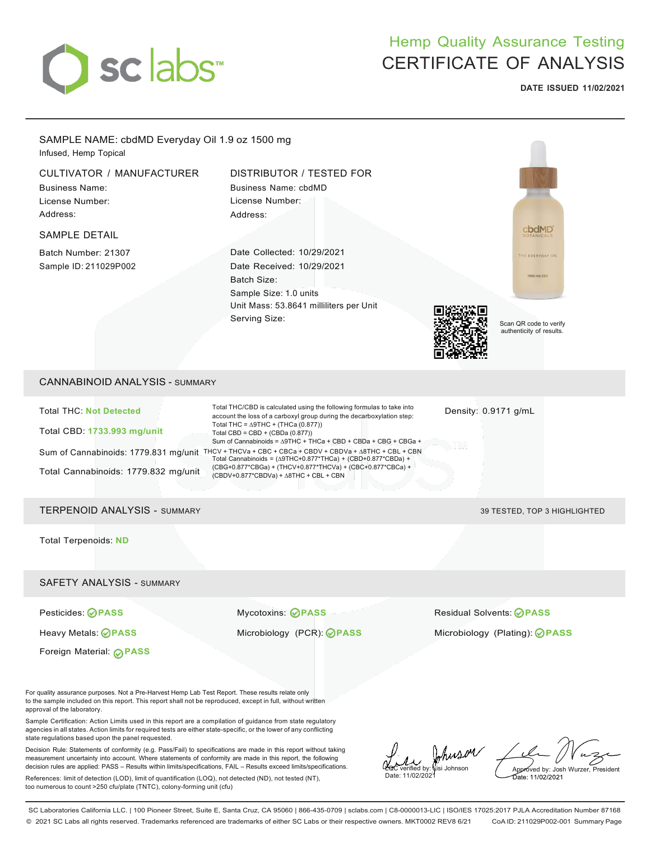

# Hemp Quality Assurance Testing CERTIFICATE OF ANALYSIS

**DATE ISSUED 11/02/2021**



SC Laboratories California LLC. | 100 Pioneer Street, Suite E, Santa Cruz, CA 95060 | 866-435-0709 | sclabs.com | C8-0000013-LIC | ISO/IES 17025:2017 PJLA Accreditation Number 87168 © 2021 SC Labs all rights reserved. Trademarks referenced are trademarks of either SC Labs or their respective owners. MKT0002 REV8 6/21 CoA ID: 211029P002-001 Summary Page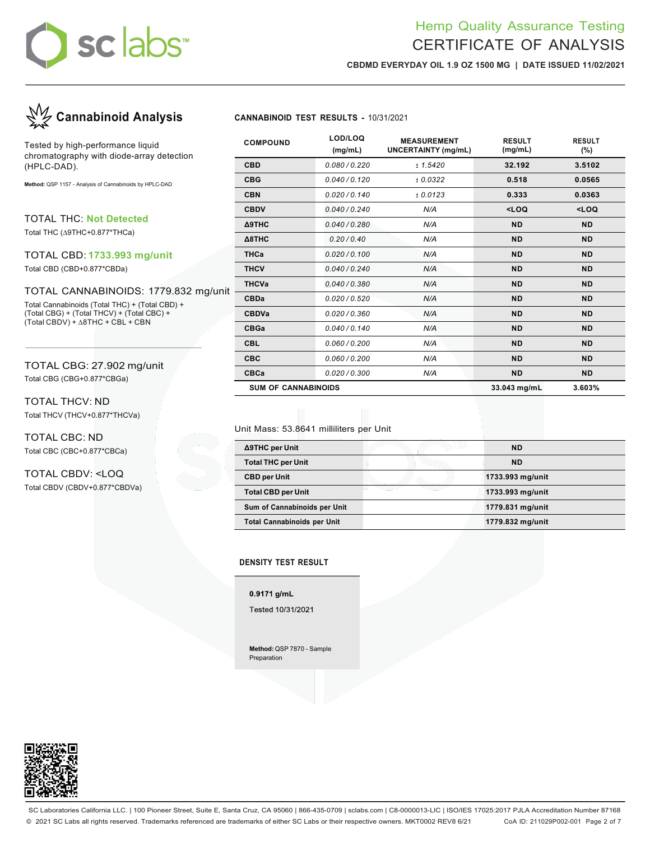# sclabs

## Hemp Quality Assurance Testing CERTIFICATE OF ANALYSIS

**CBDMD EVERYDAY OIL 1.9 OZ 1500 MG | DATE ISSUED 11/02/2021**



Tested by high-performance liquid chromatography with diode-array detection (HPLC-DAD).

**Method:** QSP 1157 - Analysis of Cannabinoids by HPLC-DAD

TOTAL THC: **Not Detected**

Total THC (∆9THC+0.877\*THCa)

## TOTAL CBD: **1733.993 mg/unit**

Total CBD (CBD+0.877\*CBDa)

### TOTAL CANNABINOIDS: 1779.832 mg/unit

Total Cannabinoids (Total THC) + (Total CBD) + (Total CBG) + (Total THCV) + (Total CBC) + (Total CBDV) + ∆8THC + CBL + CBN

### TOTAL CBG: 27.902 mg/unit Total CBG (CBG+0.877\*CBGa)

TOTAL THCV: ND Total THCV (THCV+0.877\*THCVa)

TOTAL CBC: ND Total CBC (CBC+0.877\*CBCa)

TOTAL CBDV: <LOQ Total CBDV (CBDV+0.877\*CBDVa)

| <b>COMPOUND</b>            | LOD/LOQ<br>(mg/mL) | <b>MEASUREMENT</b><br><b>UNCERTAINTY (mg/mL)</b> | <b>RESULT</b><br>(mg/mL)                        | <b>RESULT</b><br>$(\% )$ |
|----------------------------|--------------------|--------------------------------------------------|-------------------------------------------------|--------------------------|
| <b>CBD</b>                 | 0.080/0.220        | ± 1.5420                                         | 32.192                                          | 3.5102                   |
| <b>CBG</b>                 | 0.040/0.120        | ± 0.0322                                         | 0.518                                           | 0.0565                   |
| <b>CBN</b>                 | 0.020/0.140        | ± 0.0123                                         | 0.333                                           | 0.0363                   |
| <b>CBDV</b>                | 0.040/0.240        | N/A                                              | <loq< th=""><th><loq< th=""></loq<></th></loq<> | <loq< th=""></loq<>      |
| <b>A9THC</b>               | 0.040/0.280        | N/A                                              | <b>ND</b>                                       | <b>ND</b>                |
| A8THC                      | 0.20/0.40          | N/A                                              | <b>ND</b>                                       | <b>ND</b>                |
| <b>THCa</b>                | 0.020/0.100        | N/A                                              | <b>ND</b>                                       | <b>ND</b>                |
| <b>THCV</b>                | 0.040/0.240        | N/A                                              | <b>ND</b>                                       | <b>ND</b>                |
| <b>THCVa</b>               | 0.040/0.380        | N/A                                              | <b>ND</b>                                       | <b>ND</b>                |
| <b>CBDa</b>                | 0.020/0.520        | N/A                                              | <b>ND</b>                                       | <b>ND</b>                |
| <b>CBDVa</b>               | 0.020/0.360        | N/A                                              | <b>ND</b>                                       | <b>ND</b>                |
| <b>CBGa</b>                | 0.040/0.140        | N/A                                              | <b>ND</b>                                       | <b>ND</b>                |
| <b>CBL</b>                 | 0.060/0.200        | N/A                                              | <b>ND</b>                                       | <b>ND</b>                |
| <b>CBC</b>                 | 0.060/0.200        | N/A                                              | <b>ND</b>                                       | <b>ND</b>                |
| <b>CBCa</b>                | 0.020/0.300        | N/A                                              | <b>ND</b>                                       | <b>ND</b>                |
| <b>SUM OF CANNABINOIDS</b> |                    |                                                  | 33.043 mg/mL                                    | 3.603%                   |

### Unit Mass: 53.8641 milliliters per Unit

| Δ9THC per Unit                     | <b>ND</b>        |
|------------------------------------|------------------|
| <b>Total THC per Unit</b>          | <b>ND</b>        |
| <b>CBD per Unit</b>                | 1733.993 mg/unit |
| <b>Total CBD per Unit</b>          | 1733.993 mg/unit |
| Sum of Cannabinoids per Unit       | 1779.831 mg/unit |
| <b>Total Cannabinoids per Unit</b> | 1779.832 mg/unit |

### **DENSITY TEST RESULT**

0.9171 g/mL

Tested 10/31/2021

**Method:** QSP 7870 - Sample Preparation

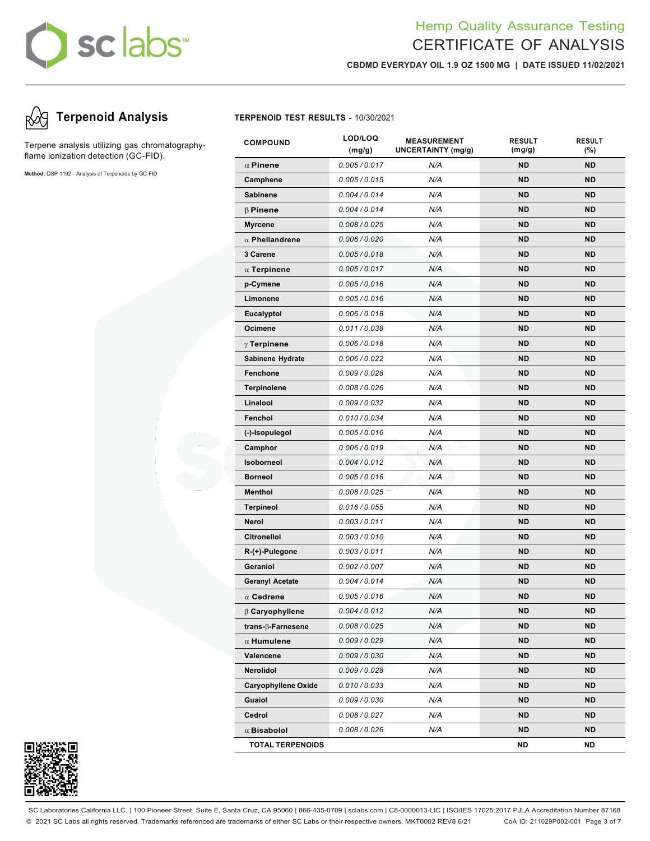# sc labs™

## Hemp Quality Assurance Testing CERTIFICATE OF ANALYSIS

**CBDMD EVERYDAY OIL 1.9 OZ 1500 MG | DATE ISSUED 11/02/2021**

# **Terpenoid Analysis TERPENOID TEST RESULTS -** 10/30/2021

Terpene analysis utilizing gas chromatographyflame ionization detection (GC-FID).

**Method:** QSP 1192 - Analysis of Terpenoids by GC-FID

| <b>COMPOUND</b>            | LOD/LOQ<br>(mg/g) | <b>MEASUREMENT</b><br>UNCERTAINTY (mg/g) | <b>RESULT</b><br>(mg/g) | <b>RESULT</b><br>$(\% )$ |
|----------------------------|-------------------|------------------------------------------|-------------------------|--------------------------|
| $\alpha$ Pinene            | 0.005/0.017       | N/A                                      | <b>ND</b>               | <b>ND</b>                |
| Camphene                   | 0.005/0.015       | N/A                                      | <b>ND</b>               | <b>ND</b>                |
| <b>Sabinene</b>            | 0.004/0.014       | N/A                                      | <b>ND</b>               | <b>ND</b>                |
| <b>B</b> Pinene            | 0.004 / 0.014     | N/A                                      | <b>ND</b>               | <b>ND</b>                |
| <b>Myrcene</b>             | 0.008 / 0.025     | N/A                                      | <b>ND</b>               | <b>ND</b>                |
| $\alpha$ Phellandrene      | 0.006 / 0.020     | N/A                                      | <b>ND</b>               | <b>ND</b>                |
| 3 Carene                   | 0.005/0.018       | N/A                                      | <b>ND</b>               | <b>ND</b>                |
| $\alpha$ Terpinene         | 0.005/0.017       | N/A                                      | <b>ND</b>               | <b>ND</b>                |
| p-Cymene                   | 0.005/0.016       | N/A                                      | <b>ND</b>               | <b>ND</b>                |
| Limonene                   | 0.005/0.016       | N/A                                      | <b>ND</b>               | <b>ND</b>                |
| Eucalyptol                 | 0.006 / 0.018     | N/A                                      | <b>ND</b>               | <b>ND</b>                |
| Ocimene                    | 0.011/0.038       | N/A                                      | <b>ND</b>               | <b>ND</b>                |
| $\gamma$ Terpinene         | 0.006/0.018       | N/A                                      | <b>ND</b>               | <b>ND</b>                |
| Sabinene Hydrate           | 0.006/0.022       | N/A                                      | <b>ND</b>               | <b>ND</b>                |
| Fenchone                   | 0.009/0.028       | N/A                                      | <b>ND</b>               | <b>ND</b>                |
| <b>Terpinolene</b>         | 0.008 / 0.026     | N/A                                      | <b>ND</b>               | <b>ND</b>                |
| Linalool                   | 0.009/0.032       | N/A                                      | <b>ND</b>               | <b>ND</b>                |
| Fenchol                    | 0.010 / 0.034     | N/A                                      | <b>ND</b>               | <b>ND</b>                |
| (-)-Isopulegol             | 0.005/0.016       | N/A                                      | <b>ND</b>               | <b>ND</b>                |
| Camphor                    | 0.006/0.019       | s Jil Vul<br>N/A                         | <b>ND</b>               | <b>ND</b>                |
| Isoborneol                 | 0.004/0.012       | N/A                                      | <b>ND</b>               | <b>ND</b>                |
| <b>Borneol</b>             | 0.005/0.016       | N/A                                      | <b>ND</b>               | <b>ND</b>                |
| <b>Menthol</b>             | 0.008/0.025       | N/A                                      | <b>ND</b>               | <b>ND</b>                |
| <b>Terpineol</b>           | 0.016/0.055       | N/A                                      | <b>ND</b>               | <b>ND</b>                |
| Nerol                      | 0.003/0.011       | N/A                                      | <b>ND</b>               | <b>ND</b>                |
| <b>Citronellol</b>         | 0.003/0.010       | N/A                                      | <b>ND</b>               | <b>ND</b>                |
| $R-(+)$ -Pulegone          | 0.003/0.011       | N/A                                      | <b>ND</b>               | <b>ND</b>                |
| Geraniol                   | 0.002 / 0.007     | N/A                                      | <b>ND</b>               | <b>ND</b>                |
| <b>Geranyl Acetate</b>     | 0.004/0.014       | N/A                                      | <b>ND</b>               | <b>ND</b>                |
| $\alpha$ Cedrene           | 0.005/0.016       | N/A                                      | <b>ND</b>               | <b>ND</b>                |
| $\beta$ Caryophyllene      | 0.004 / 0.012     | N/A                                      | ND                      | ND                       |
| trans- $\beta$ -Farnesene  | 0.008 / 0.025     | N/A                                      | <b>ND</b>               | <b>ND</b>                |
| $\alpha$ Humulene          | 0.009 / 0.029     | N/A                                      | <b>ND</b>               | <b>ND</b>                |
| Valencene                  | 0.009 / 0.030     | N/A                                      | <b>ND</b>               | <b>ND</b>                |
| Nerolidol                  | 0.009/0.028       | N/A                                      | <b>ND</b>               | <b>ND</b>                |
| <b>Caryophyllene Oxide</b> | 0.010 / 0.033     | N/A                                      | ND                      | <b>ND</b>                |
| Guaiol                     | 0.009/0.030       | N/A                                      | <b>ND</b>               | <b>ND</b>                |
| Cedrol                     | 0.008 / 0.027     | N/A                                      | <b>ND</b>               | <b>ND</b>                |
| $\alpha$ Bisabolol         | 0.008 / 0.026     | N/A                                      | <b>ND</b>               | <b>ND</b>                |
| <b>TOTAL TERPENOIDS</b>    |                   |                                          | <b>ND</b>               | ND                       |



SC Laboratories California LLC. | 100 Pioneer Street, Suite E, Santa Cruz, CA 95060 | 866-435-0709 | sclabs.com | C8-0000013-LIC | ISO/IES 17025:2017 PJLA Accreditation Number 87168 © 2021 SC Labs all rights reserved. Trademarks referenced are trademarks of either SC Labs or their respective owners. MKT0002 REV8 6/21 CoA ID: 211029P002-001 Page 3 of 7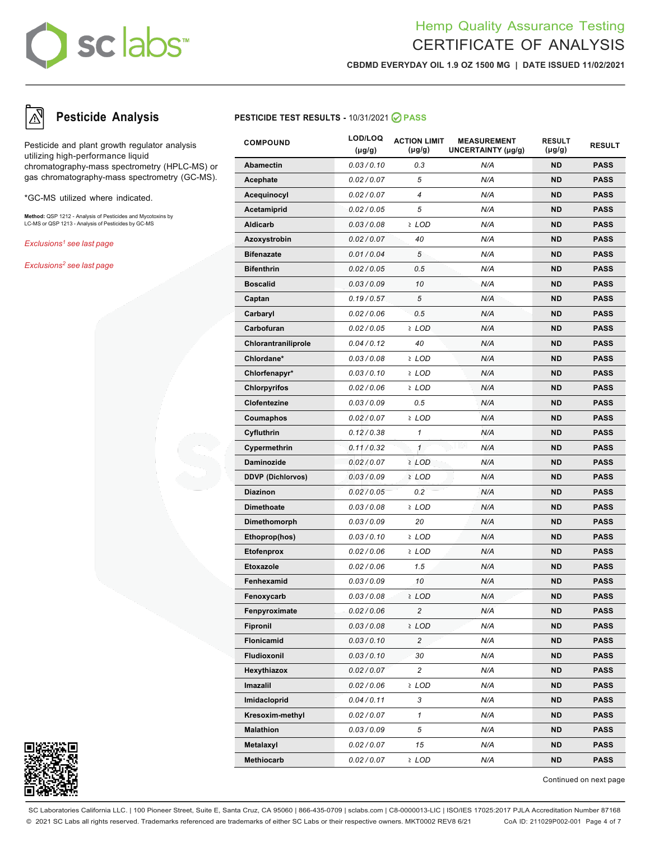# sc labs™

## Hemp Quality Assurance Testing CERTIFICATE OF ANALYSIS

**CBDMD EVERYDAY OIL 1.9 OZ 1500 MG | DATE ISSUED 11/02/2021**

Pesticide and plant growth regulator analysis utilizing high-performance liquid chromatography-mass spectrometry (HPLC-MS) or gas chromatography-mass spectrometry (GC-MS).

\*GC-MS utilized where indicated.

**Method:** QSP 1212 - Analysis of Pesticides and Mycotoxins by LC-MS or QSP 1213 - Analysis of Pesticides by GC-MS

*Exclusions1 see last page*

*Exclusions2 see last page*



| <b>COMPOUND</b>          | LOD/LOQ<br>$(\mu g/g)$ | <b>ACTION LIMIT</b><br>$(\mu g/g)$ | <b>MEASUREMENT</b><br>UNCERTAINTY (µg/g) | <b>RESULT</b><br>$(\mu g/g)$ | <b>RESULT</b> |
|--------------------------|------------------------|------------------------------------|------------------------------------------|------------------------------|---------------|
| <b>Abamectin</b>         | 0.03/0.10              | 0.3                                | N/A                                      | ND                           | <b>PASS</b>   |
| Acephate                 | 0.02 / 0.07            | 5                                  | N/A                                      | <b>ND</b>                    | <b>PASS</b>   |
| Acequinocyl              | 0.02 / 0.07            | 4                                  | N/A                                      | <b>ND</b>                    | <b>PASS</b>   |
| Acetamiprid              | 0.02 / 0.05            | 5                                  | N/A                                      | ND                           | <b>PASS</b>   |
| <b>Aldicarb</b>          | 0.03/0.08              | ≥ LOD                              | N/A                                      | ND                           | <b>PASS</b>   |
| Azoxystrobin             | 0.02 / 0.07            | 40                                 | N/A                                      | ND                           | <b>PASS</b>   |
| <b>Bifenazate</b>        | 0.01/0.04              | 5                                  | N/A                                      | ND                           | <b>PASS</b>   |
| <b>Bifenthrin</b>        | 0.02 / 0.05            | 0.5                                | N/A                                      | <b>ND</b>                    | <b>PASS</b>   |
| <b>Boscalid</b>          | 0.03/0.09              | 10                                 | N/A                                      | ND                           | <b>PASS</b>   |
| Captan                   | 0.19/0.57              | 5                                  | N/A                                      | ND                           | <b>PASS</b>   |
| Carbaryl                 | 0.02 / 0.06            | 0.5                                | N/A                                      | ND                           | <b>PASS</b>   |
| Carbofuran               | 0.02 / 0.05            | $2$ LOD                            | N/A                                      | ND                           | <b>PASS</b>   |
| Chlorantraniliprole      | 0.04/0.12              | 40                                 | N/A                                      | ND                           | <b>PASS</b>   |
| Chlordane*               | 0.03/0.08              | ≥ LOD                              | N/A                                      | <b>ND</b>                    | <b>PASS</b>   |
| Chlorfenapyr*            | 0.03/0.10              | ≥ LOD                              | N/A                                      | ND                           | <b>PASS</b>   |
| <b>Chlorpyrifos</b>      | 0.02 / 0.06            | ≥ LOD                              | N/A                                      | ND                           | <b>PASS</b>   |
| Clofentezine             | 0.03/0.09              | 0.5                                | N/A                                      | ND                           | <b>PASS</b>   |
| Coumaphos                | 0.02 / 0.07            | ≥ LOD                              | N/A                                      | ND                           | <b>PASS</b>   |
| Cyfluthrin               | 0.12/0.38              | $\mathbf{1}$                       | N/A                                      | ND                           | <b>PASS</b>   |
| Cypermethrin             | 0.11/0.32              | $\mathbf{1}$                       | u uwu<br>N/A                             | <b>ND</b>                    | <b>PASS</b>   |
| Daminozide               | 0.02 / 0.07            | $2$ LOD                            | N/A                                      | ND                           | <b>PASS</b>   |
| <b>DDVP</b> (Dichlorvos) | 0.03/0.09              | $2$ LOD                            | N/A                                      | ND                           | <b>PASS</b>   |
| <b>Diazinon</b>          | 0.02 / 0.05            | 0.2                                | N/A                                      | ND                           | <b>PASS</b>   |
| <b>Dimethoate</b>        | 0.03/0.08              | ≥ LOD                              | N/A                                      | ND                           | <b>PASS</b>   |
| Dimethomorph             | 0.03 / 0.09            | 20                                 | N/A                                      | ND                           | <b>PASS</b>   |
| Ethoprop(hos)            | 0.03/0.10              | ≥ LOD                              | N/A                                      | ND                           | <b>PASS</b>   |
| <b>Etofenprox</b>        | 0.02 / 0.06            | ≥ LOD                              | N/A                                      | ND                           | <b>PASS</b>   |
| <b>Etoxazole</b>         | 0.02 / 0.06            | 1.5                                | N/A                                      | ND                           | <b>PASS</b>   |
| Fenhexamid               | 0.03/0.09              | 10                                 | N/A                                      | ND                           | <b>PASS</b>   |
| Fenoxycarb               | 0.03/0.08              | ≥ LOD                              | N/A                                      | ND                           | <b>PASS</b>   |
| Fenpyroximate            | 0.02 / 0.06            | 2                                  | N/A                                      | ND                           | <b>PASS</b>   |
| Fipronil                 | 0.03 / 0.08            | ≥ LOD                              | N/A                                      | <b>ND</b>                    | <b>PASS</b>   |
| Flonicamid               | 0.03/0.10              | $\overline{c}$                     | N/A                                      | <b>ND</b>                    | <b>PASS</b>   |
| Fludioxonil              | 0.03/0.10              | 30                                 | N/A                                      | ND                           | PASS          |
| Hexythiazox              | 0.02 / 0.07            | $\overline{c}$                     | N/A                                      | ND                           | <b>PASS</b>   |
| Imazalil                 | 0.02 / 0.06            | $2$ LOD                            | N/A                                      | ND                           | <b>PASS</b>   |
| Imidacloprid             | 0.04/0.11              | 3                                  | N/A                                      | ND                           | PASS          |
| Kresoxim-methyl          | 0.02 / 0.07            | $\mathbf{1}$                       | N/A                                      | ND                           | <b>PASS</b>   |
| <b>Malathion</b>         | 0.03 / 0.09            | 5                                  | N/A                                      | <b>ND</b>                    | PASS          |
| Metalaxyl                | 0.02 / 0.07            | 15                                 | N/A                                      | ND                           | PASS          |
| Methiocarb               | 0.02 / 0.07            | ≥ LOD                              | N/A                                      | ND                           | <b>PASS</b>   |



Continued on next page

SC Laboratories California LLC. | 100 Pioneer Street, Suite E, Santa Cruz, CA 95060 | 866-435-0709 | sclabs.com | C8-0000013-LIC | ISO/IES 17025:2017 PJLA Accreditation Number 87168 © 2021 SC Labs all rights reserved. Trademarks referenced are trademarks of either SC Labs or their respective owners. MKT0002 REV8 6/21 CoA ID: 211029P002-001 Page 4 of 7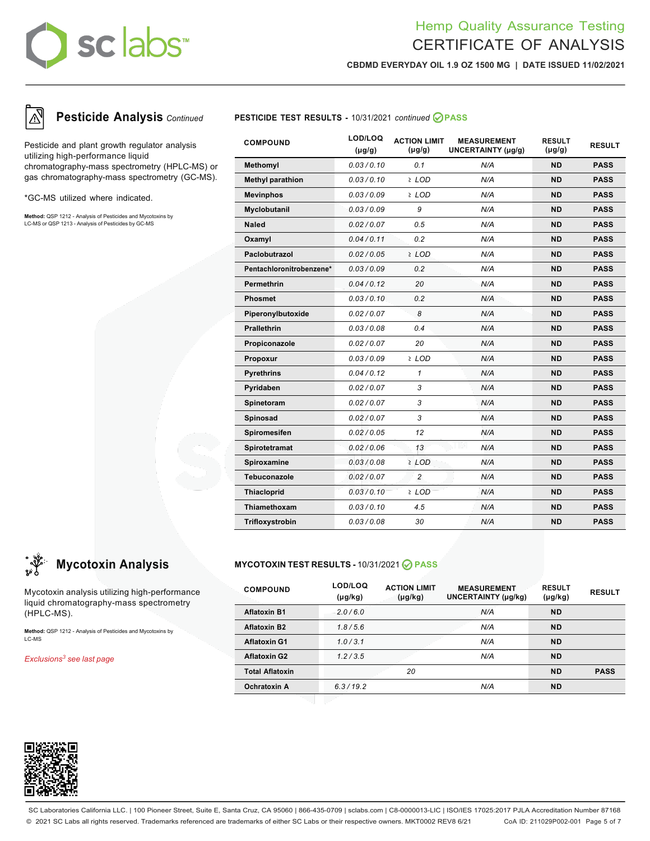# sclabs<sup>®</sup>

## Hemp Quality Assurance Testing CERTIFICATE OF ANALYSIS

**CBDMD EVERYDAY OIL 1.9 OZ 1500 MG | DATE ISSUED 11/02/2021**



Pesticide and plant growth regulator analysis utilizing high-performance liquid chromatography-mass spectrometry (HPLC-MS) or gas chromatography-mass spectrometry (GC-MS).

\*GC-MS utilized where indicated.

**Method:** QSP 1212 - Analysis of Pesticides and Mycotoxins by LC-MS or QSP 1213 - Analysis of Pesticides by GC-MS

Mycotoxin analysis utilizing high-performance liquid chromatography-mass spectrometry

**Method:** QSP 1212 - Analysis of Pesticides and Mycotoxins by

## **Pesticide Analysis** *Continued* **PESTICIDE TEST RESULTS -** 10/31/2021 *continued* **PASS**

| <b>COMPOUND</b>          | LOD/LOQ<br>$(\mu g/g)$ | <b>ACTION LIMIT</b><br>$(\mu g/g)$ | <b>MEASUREMENT</b><br>UNCERTAINTY (µg/g) | <b>RESULT</b><br>$(\mu g/g)$ | <b>RESULT</b> |
|--------------------------|------------------------|------------------------------------|------------------------------------------|------------------------------|---------------|
| Methomyl                 | 0.03/0.10              | 0.1                                | N/A                                      | <b>ND</b>                    | <b>PASS</b>   |
| <b>Methyl parathion</b>  | 0.03/0.10              | $2$ LOD                            | N/A                                      | <b>ND</b>                    | <b>PASS</b>   |
| <b>Mevinphos</b>         | 0.03/0.09              | ≥ LOD                              | N/A                                      | <b>ND</b>                    | <b>PASS</b>   |
| Myclobutanil             | 0.03/0.09              | 9                                  | N/A                                      | <b>ND</b>                    | <b>PASS</b>   |
| <b>Naled</b>             | 0.02 / 0.07            | 0.5                                | N/A                                      | <b>ND</b>                    | <b>PASS</b>   |
| Oxamyl                   | 0.04/0.11              | 0.2                                | N/A                                      | <b>ND</b>                    | <b>PASS</b>   |
| Paclobutrazol            | 0.02 / 0.05            | $\geq$ LOD                         | N/A                                      | <b>ND</b>                    | <b>PASS</b>   |
| Pentachloronitrobenzene* | 0.03/0.09              | 0.2                                | N/A                                      | <b>ND</b>                    | <b>PASS</b>   |
| <b>Permethrin</b>        | 0.04/0.12              | 20                                 | N/A                                      | <b>ND</b>                    | <b>PASS</b>   |
| <b>Phosmet</b>           | 0.03/0.10              | 0.2                                | N/A                                      | <b>ND</b>                    | <b>PASS</b>   |
| Piperonylbutoxide        | 0.02 / 0.07            | 8                                  | N/A                                      | <b>ND</b>                    | <b>PASS</b>   |
| <b>Prallethrin</b>       | 0.03/0.08              | 0.4                                | N/A                                      | <b>ND</b>                    | <b>PASS</b>   |
| Propiconazole            | 0.02 / 0.07            | 20                                 | N/A                                      | <b>ND</b>                    | <b>PASS</b>   |
| Propoxur                 | 0.03/0.09              | ≥ LOD                              | N/A                                      | <b>ND</b>                    | <b>PASS</b>   |
| <b>Pyrethrins</b>        | 0.04/0.12              | $\mathbf{1}$                       | N/A                                      | <b>ND</b>                    | <b>PASS</b>   |
| Pyridaben                | 0.02 / 0.07            | 3                                  | N/A                                      | <b>ND</b>                    | <b>PASS</b>   |
| Spinetoram               | 0.02/0.07              | 3                                  | N/A                                      | <b>ND</b>                    | <b>PASS</b>   |
| Spinosad                 | 0.02/0.07              | 3                                  | N/A                                      | <b>ND</b>                    | <b>PASS</b>   |
| Spiromesifen             | 0.02/0.05              | 12                                 | N/A                                      | <b>ND</b>                    | <b>PASS</b>   |
| Spirotetramat            | 0.02 / 0.06            | 13 <sup>7</sup>                    | LV.<br>N/A                               | <b>ND</b>                    | <b>PASS</b>   |
| Spiroxamine              | 0.03/0.08              | $2$ LOD                            | N/A                                      | <b>ND</b>                    | <b>PASS</b>   |
| Tebuconazole             | 0.02 / 0.07            | $\overline{c}$                     | N/A                                      | <b>ND</b>                    | <b>PASS</b>   |
| <b>Thiacloprid</b>       | 0.03/0.10              | $2$ LOD                            | N/A                                      | <b>ND</b>                    | <b>PASS</b>   |
| Thiamethoxam             | 0.03/0.10              | 4.5                                | N/A                                      | <b>ND</b>                    | <b>PASS</b>   |
| Trifloxystrobin          | 0.03/0.08              | 30                                 | N/A                                      | <b>ND</b>                    | <b>PASS</b>   |

## **Mycotoxin Analysis MYCOTOXIN TEST RESULTS -** 10/31/2021 **PASS**

| <b>COMPOUND</b>        | LOD/LOQ<br>$(\mu g/kg)$ | <b>ACTION LIMIT</b><br>$(\mu g/kg)$ | <b>MEASUREMENT</b><br><b>UNCERTAINTY (µg/kg)</b> | <b>RESULT</b><br>$(\mu g/kg)$ | <b>RESULT</b> |
|------------------------|-------------------------|-------------------------------------|--------------------------------------------------|-------------------------------|---------------|
| <b>Aflatoxin B1</b>    | 2.0/6.0                 |                                     | N/A                                              | <b>ND</b>                     |               |
| <b>Aflatoxin B2</b>    | 1.8/5.6                 |                                     | N/A                                              | <b>ND</b>                     |               |
| <b>Aflatoxin G1</b>    | 1.0/3.1                 |                                     | N/A                                              | <b>ND</b>                     |               |
| <b>Aflatoxin G2</b>    | 1.2/3.5                 |                                     | N/A                                              | <b>ND</b>                     |               |
| <b>Total Aflatoxin</b> |                         | 20                                  |                                                  | <b>ND</b>                     | <b>PASS</b>   |
| Ochratoxin A           | 6.3/19.2                |                                     | N/A                                              | <b>ND</b>                     |               |
|                        |                         |                                     |                                                  |                               |               |



(HPLC-MS).

*Exclusions3 see last page*

LC-MS

SC Laboratories California LLC. | 100 Pioneer Street, Suite E, Santa Cruz, CA 95060 | 866-435-0709 | sclabs.com | C8-0000013-LIC | ISO/IES 17025:2017 PJLA Accreditation Number 87168 © 2021 SC Labs all rights reserved. Trademarks referenced are trademarks of either SC Labs or their respective owners. MKT0002 REV8 6/21 CoA ID: 211029P002-001 Page 5 of 7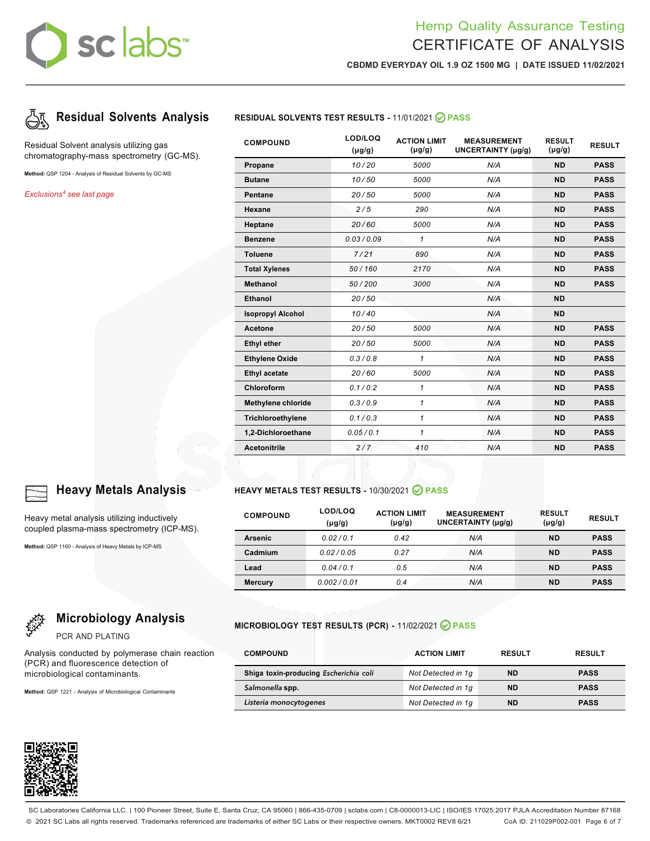# sclabs<sup>\*</sup>

# Hemp Quality Assurance Testing CERTIFICATE OF ANALYSIS

**CBDMD EVERYDAY OIL 1.9 OZ 1500 MG | DATE ISSUED 11/02/2021**



Residual Solvent analysis utilizing gas chromatography-mass spectrometry (GC-MS).

**Method:** QSP 1204 - Analysis of Residual Solvents by GC-MS

*Exclusions4 see last page*



Heavy metal analysis utilizing inductively coupled plasma-mass spectrometry (ICP-MS).

**Method:** QSP 1160 - Analysis of Heavy Metals by ICP-MS

# **Microbiology Analysis**

PCR AND PLATING

Analysis conducted by polymerase chain reaction (PCR) and fluorescence detection of microbiological contaminants.

**Method:** QSP 1221 - Analysis of Microbiological Contaminants



## **Residual Solvents Analysis RESIDUAL SOLVENTS TEST RESULTS -** 11/01/2021 **PASS**

| <b>COMPOUND</b>           | LOD/LOQ<br>$(\mu g/g)$ | <b>ACTION LIMIT</b><br>$(\mu g/g)$ | <b>MEASUREMENT</b><br><b>UNCERTAINTY (µg/g)</b> | <b>RESULT</b><br>$(\mu g/g)$ | <b>RESULT</b> |
|---------------------------|------------------------|------------------------------------|-------------------------------------------------|------------------------------|---------------|
| Propane                   | 10/20                  | 5000                               | N/A                                             | <b>ND</b>                    | <b>PASS</b>   |
| <b>Butane</b>             | 10/50                  | 5000                               | N/A                                             | <b>ND</b>                    | <b>PASS</b>   |
| Pentane                   | 20/50                  | 5000                               | N/A                                             | <b>ND</b>                    | <b>PASS</b>   |
| Hexane                    | 2/5                    | 290                                | N/A                                             | <b>ND</b>                    | <b>PASS</b>   |
| Heptane                   | 20/60                  | 5000                               | N/A                                             | <b>ND</b>                    | <b>PASS</b>   |
| <b>Benzene</b>            | 0.03/0.09              | 1                                  | N/A                                             | <b>ND</b>                    | <b>PASS</b>   |
| <b>Toluene</b>            | 7/21                   | 890                                | N/A                                             | <b>ND</b>                    | <b>PASS</b>   |
| <b>Total Xylenes</b>      | 50/160                 | 2170                               | N/A                                             | <b>ND</b>                    | <b>PASS</b>   |
| <b>Methanol</b>           | 50/200                 | 3000                               | N/A                                             | <b>ND</b>                    | <b>PASS</b>   |
| Ethanol                   | 20/50                  |                                    | N/A                                             | <b>ND</b>                    |               |
| <b>Isopropyl Alcohol</b>  | 10/40                  |                                    | N/A                                             | <b>ND</b>                    |               |
| Acetone                   | 20/50                  | 5000                               | N/A                                             | <b>ND</b>                    | <b>PASS</b>   |
| <b>Ethyl ether</b>        | 20/50                  | 5000                               | N/A                                             | <b>ND</b>                    | <b>PASS</b>   |
| <b>Ethylene Oxide</b>     | 0.3/0.8                | $\mathbf{1}$                       | N/A                                             | <b>ND</b>                    | <b>PASS</b>   |
| <b>Ethyl acetate</b>      | 20/60                  | 5000                               | N/A                                             | <b>ND</b>                    | <b>PASS</b>   |
| Chloroform                | 0.1/0.2                | $\mathbf{1}$                       | N/A                                             | <b>ND</b>                    | <b>PASS</b>   |
| <b>Methylene chloride</b> | 0.3/0.9                | 1                                  | N/A                                             | <b>ND</b>                    | <b>PASS</b>   |
| Trichloroethylene         | 0.1/0.3                | $\mathbf{1}$                       | N/A                                             | <b>ND</b>                    | <b>PASS</b>   |
| 1,2-Dichloroethane        | 0.05/0.1               | 1                                  | N/A                                             | <b>ND</b>                    | <b>PASS</b>   |
| <b>Acetonitrile</b>       | 2/7                    | 410                                | N/A                                             | <b>ND</b>                    | <b>PASS</b>   |

## **Heavy Metals Analysis HEAVY METALS TEST RESULTS -** 10/30/2021 **PASS**

| <b>COMPOUND</b> | LOD/LOQ<br>$(\mu g/g)$ | <b>ACTION LIMIT</b><br>$(\mu g/g)$ | <b>MEASUREMENT</b><br>UNCERTAINTY (µq/q) | <b>RESULT</b><br>$(\mu g/g)$ | <b>RESULT</b> |
|-----------------|------------------------|------------------------------------|------------------------------------------|------------------------------|---------------|
| <b>Arsenic</b>  | 0.02/0.1               | 0.42                               | N/A                                      | <b>ND</b>                    | <b>PASS</b>   |
| Cadmium         | 0.02/0.05              | 0.27                               | N/A                                      | <b>ND</b>                    | <b>PASS</b>   |
| Lead            | 0.04/0.1               | 0.5                                | N/A                                      | <b>ND</b>                    | <b>PASS</b>   |
| <b>Mercury</b>  | 0.002/0.01             | 0.4                                | N/A                                      | <b>ND</b>                    | <b>PASS</b>   |

### **MICROBIOLOGY TEST RESULTS (PCR) -** 11/02/2021 **PASS**

| <b>COMPOUND</b>                        | <b>ACTION LIMIT</b> |           | <b>RESULT</b> |
|----------------------------------------|---------------------|-----------|---------------|
| Shiga toxin-producing Escherichia coli | Not Detected in 1q  | <b>ND</b> | <b>PASS</b>   |
| Salmonella spp.                        | Not Detected in 1q  | <b>ND</b> | <b>PASS</b>   |
| Listeria monocytogenes                 | Not Detected in 1q  | <b>ND</b> | <b>PASS</b>   |

SC Laboratories California LLC. | 100 Pioneer Street, Suite E, Santa Cruz, CA 95060 | 866-435-0709 | sclabs.com | C8-0000013-LIC | ISO/IES 17025:2017 PJLA Accreditation Number 87168 © 2021 SC Labs all rights reserved. Trademarks referenced are trademarks of either SC Labs or their respective owners. MKT0002 REV8 6/21 CoA ID: 211029P002-001 Page 6 of 7